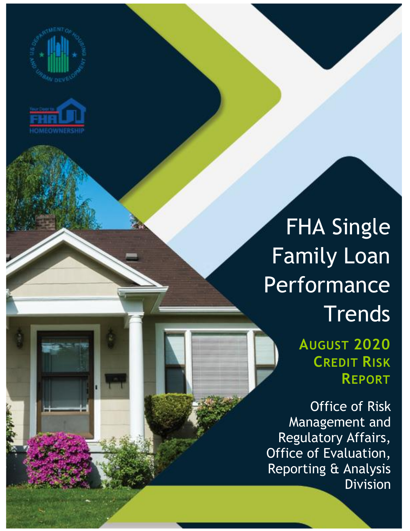



## FHA Single Family Loan Performance **Trends**

**AUGUST 2020 CREDIT RISK REPORT**

Office of Risk Management and Regulatory Affairs, Office of Evaluation, Reporting & Analysis Division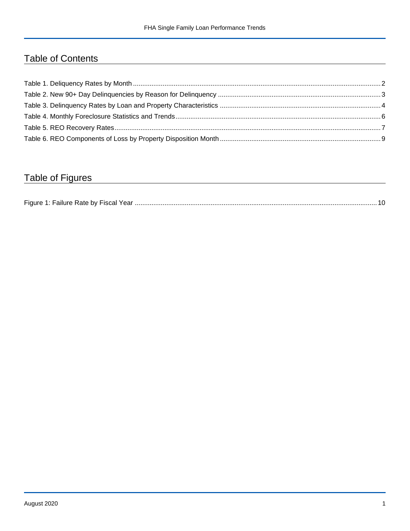## Table of Contents

## Table of Figures

| Figure 1<br>Failure Rate by Fiscal Year. |  |
|------------------------------------------|--|
|------------------------------------------|--|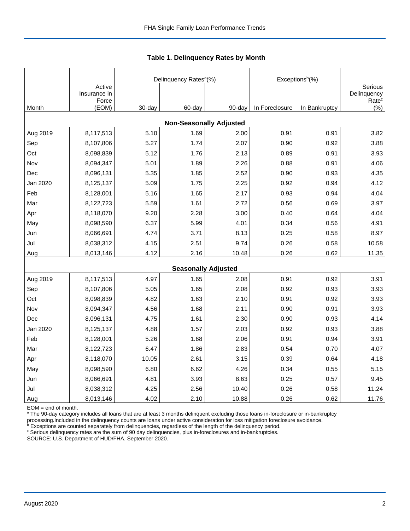|          |                                 |        | Delinquency Rates <sup>a</sup> (%) |        | Exceptions <sup>b</sup> (%) |               |                                             |
|----------|---------------------------------|--------|------------------------------------|--------|-----------------------------|---------------|---------------------------------------------|
|          | Active<br>Insurance in<br>Force |        |                                    |        |                             |               | Serious<br>Delinquency<br>Rate <sup>c</sup> |
| Month    | (EOM)                           | 30-day | 60-day                             | 90-day | In Foreclosure              | In Bankruptcy | (% )                                        |
|          |                                 |        | <b>Non-Seasonally Adjusted</b>     |        |                             |               |                                             |
| Aug 2019 | 8,117,513                       | 5.10   | 1.69                               | 2.00   | 0.91                        | 0.91          | 3.82                                        |
| Sep      | 8,107,806                       | 5.27   | 1.74                               | 2.07   | 0.90                        | 0.92          | 3.88                                        |
| Oct      | 8,098,839                       | 5.12   | 1.76                               | 2.13   | 0.89                        | 0.91          | 3.93                                        |
| Nov      | 8,094,347                       | 5.01   | 1.89                               | 2.26   | 0.88                        | 0.91          | 4.06                                        |
| Dec      | 8,096,131                       | 5.35   | 1.85                               | 2.52   | 0.90                        | 0.93          | 4.35                                        |
| Jan 2020 | 8,125,137                       | 5.09   | 1.75                               | 2.25   | 0.92                        | 0.94          | 4.12                                        |
| Feb      | 8,128,001                       | 5.16   | 1.65                               | 2.17   | 0.93                        | 0.94          | 4.04                                        |
| Mar      | 8,122,723                       | 5.59   | 1.61                               | 2.72   | 0.56                        | 0.69          | 3.97                                        |
| Apr      | 8,118,070                       | 9.20   | 2.28                               | 3.00   | 0.40                        | 0.64          | 4.04                                        |
| May      | 8,098,590                       | 6.37   | 5.99                               | 4.01   | 0.34                        | 0.56          | 4.91                                        |
| Jun      | 8,066,691                       | 4.74   | 3.71                               | 8.13   | 0.25                        | 0.58          | 8.97                                        |
| Jul      | 8,038,312                       | 4.15   | 2.51                               | 9.74   | 0.26                        | 0.58          | 10.58                                       |
| Aug      | 8,013,146                       | 4.12   | 2.16                               | 10.48  | 0.26                        | 0.62          | 11.35                                       |
|          |                                 |        | <b>Seasonally Adjusted</b>         |        |                             |               |                                             |
| Aug 2019 | 8,117,513                       | 4.97   | 1.65                               | 2.08   | 0.91                        | 0.92          | 3.91                                        |
| Sep      | 8,107,806                       | 5.05   | 1.65                               | 2.08   | 0.92                        | 0.93          | 3.93                                        |
| Oct      | 8,098,839                       | 4.82   | 1.63                               | 2.10   | 0.91                        | 0.92          | 3.93                                        |
| Nov      | 8,094,347                       | 4.56   | 1.68                               | 2.11   | 0.90                        | 0.91          | 3.93                                        |
| Dec      | 8,096,131                       | 4.75   | 1.61                               | 2.30   | 0.90                        | 0.93          | 4.14                                        |
| Jan 2020 | 8,125,137                       | 4.88   | 1.57                               | 2.03   | 0.92                        | 0.93          | 3.88                                        |
| Feb      | 8,128,001                       | 5.26   | 1.68                               | 2.06   | 0.91                        | 0.94          | 3.91                                        |
| Mar      | 8,122,723                       | 6.47   | 1.86                               | 2.83   | 0.54                        | 0.70          | 4.07                                        |
| Apr      | 8,118,070                       | 10.05  | 2.61                               | 3.15   | 0.39                        | 0.64          | 4.18                                        |
| May      | 8,098,590                       | 6.80   | 6.62                               | 4.26   | 0.34                        | 0.55          | 5.15                                        |
| Jun      | 8,066,691                       | 4.81   | 3.93                               | 8.63   | 0.25                        | 0.57          | 9.45                                        |
| Jul      | 8,038,312                       | 4.25   | 2.56                               | 10.40  | 0.26                        | 0.58          | 11.24                                       |
| Aug      | 8,013,146                       | 4.02   | 2.10                               | 10.88  | 0.26                        | 0.62          | 11.76                                       |

<span id="page-2-0"></span>**Table 1. Delinquency Rates by Month**

EOM = end of month.

<sup>a</sup> The 90-day category includes all loans that are at least 3 months delinquent excluding those loans in-foreclosure or in-bankruptcy

processing.Included in the delinquency counts are loans under active consideration for loss mitigation foreclosure avoidance.

 $b$  Exceptions are counted separately from delinquencies, regardless of the length of the delinquency period.

<sup>c</sup> Serious delinquency rates are the sum of 90 day delinquencies, plus in-foreclosures and in-bankruptcies.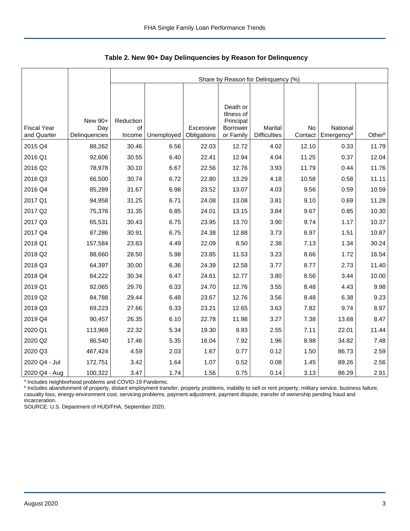|                                   |                                 |                           | Share by Reason for Delinquency (%) |                          |                                                  |                                |               |                                    |        |  |  |  |
|-----------------------------------|---------------------------------|---------------------------|-------------------------------------|--------------------------|--------------------------------------------------|--------------------------------|---------------|------------------------------------|--------|--|--|--|
|                                   |                                 |                           |                                     |                          | Death or                                         |                                |               |                                    |        |  |  |  |
| <b>Fiscal Year</b><br>and Quarter | New 90+<br>Day<br>Delinquencies | Reduction<br>of<br>Income | Unemployed                          | Excessive<br>Obligations | Illness of<br>Principal<br>Borrower<br>or Family | Marital<br><b>Difficulties</b> | No<br>Contact | National<br>Emergency <sup>a</sup> | Otherb |  |  |  |
| 2015 Q4                           | 88,262                          | 30.46                     | 6.56                                | 22.03                    | 12.72                                            | 4.02                           | 12.10         | 0.33                               | 11.79  |  |  |  |
| 2016 Q1                           | 92,606                          | 30.55                     | 6.40                                | 22.41                    | 12.94                                            | 4.04                           | 11.25         | 0.37                               | 12.04  |  |  |  |
| 2016 Q2                           | 78,978                          | 30.10                     | 6.67                                | 22.56                    | 12.76                                            | 3.93                           | 11.79         | 0.44                               | 11.76  |  |  |  |
| 2016 Q3                           | 66,500                          | 30.74                     | 6.72                                | 22.80                    | 13.29                                            | 4.18                           | 10.58         | 0.58                               | 11.11  |  |  |  |
| 2016 Q4                           | 85,289                          | 31.67                     | 6.98                                | 23.52                    | 13.07                                            | 4.03                           | 9.56          | 0.59                               | 10.59  |  |  |  |
| 2017 Q1                           | 94,958                          | 31.25                     | 6.71                                | 24.08                    | 13.08                                            | 3.81                           | 9.10          | 0.69                               | 11.28  |  |  |  |
| 2017 Q2                           | 75,376                          | 31.35                     | 6.85                                | 24.01                    | 13.15                                            | 3.84                           | 9.67          | 0.85                               | 10.30  |  |  |  |
| 2017 Q3                           | 65,531                          | 30.43                     | 6.75                                | 23.95                    | 13.70                                            | 3.90                           | 9.74          | 1.17                               | 10.37  |  |  |  |
| 2017 Q4                           | 87,286                          | 30.91                     | 6.75                                | 24.38                    | 12.88                                            | 3.73                           | 8.97          | 1.51                               | 10.87  |  |  |  |
| 2018 Q1                           | 157,584                         | 23.83                     | 4.49                                | 22.09                    | 8.50                                             | 2.38                           | 7.13          | 1.34                               | 30.24  |  |  |  |
| 2018 Q2                           | 88,660                          | 28.50                     | 5.98                                | 23.85                    | 11.53                                            | 3.23                           | 8.66          | 1.72                               | 16.54  |  |  |  |
| 2018 Q3                           | 64,397                          | 30.00                     | 6.36                                | 24.39                    | 12.58                                            | 3.77                           | 8.77          | 2.73                               | 11.40  |  |  |  |
| 2018 Q4                           | 84,222                          | 30.34                     | 6.47                                | 24.61                    | 12.77                                            | 3.80                           | 8.56          | 3.44                               | 10.00  |  |  |  |
| 2019 Q1                           | 92,065                          | 29.76                     | 6.33                                | 24.70                    | 12.76                                            | 3.55                           | 8.48          | 4.43                               | 9.98   |  |  |  |
| 2019 Q2                           | 84,788                          | 29.44                     | 6.48                                | 23.67                    | 12.76                                            | 3.56                           | 8.48          | 6.38                               | 9.23   |  |  |  |
| 2019 Q3                           | 69,223                          | 27.66                     | 6.33                                | 23.21                    | 12.65                                            | 3.63                           | 7.82          | 9.74                               | 8.97   |  |  |  |
| 2019 Q4                           | 90,457                          | 26.35                     | 6.10                                | 22.78                    | 11.98                                            | 3.27                           | 7.38          | 13.68                              | 8.47   |  |  |  |
| 2020 Q1                           | 113,969                         | 22.32                     | 5.34                                | 19.30                    | 9.93                                             | 2.55                           | 7.11          | 22.01                              | 11.44  |  |  |  |
| 2020 Q2                           | 86,540                          | 17.46                     | 5.35                                | 16.04                    | 7.92                                             | 1.96                           | 8.98          | 34.82                              | 7.48   |  |  |  |
| 2020 Q3                           | 467,424                         | 4.59                      | 2.03                                | 1.67                     | 0.77                                             | 0.12                           | 1.50          | 86.73                              | 2.59   |  |  |  |
| 2020 Q4 - Jul                     | 172,751                         | 3.42                      | 1.64                                | 1.07                     | 0.52                                             | 0.08                           | 1.45          | 89.26                              | 2.56   |  |  |  |
| 2020 Q4 - Aug                     | 100,322                         | 3.47                      | 1.74                                | 1.56                     | 0.75                                             | 0.14                           | 3.13          | 86.29                              | 2.91   |  |  |  |

<span id="page-3-0"></span>**Table 2. New 90+ Day Delinquencies by Reason for Delinquency**

a Includes neighborhood problems and COVID-19 Pandemic.

**b** Includes abandonment of property, distant employment transfer, property problems, inability to sell or rent property, military service, business failure, casualty loss, energy-environment cost, servicing problems, payment adjustment, payment dispute, transfer of ownership pending fraud and incarceration.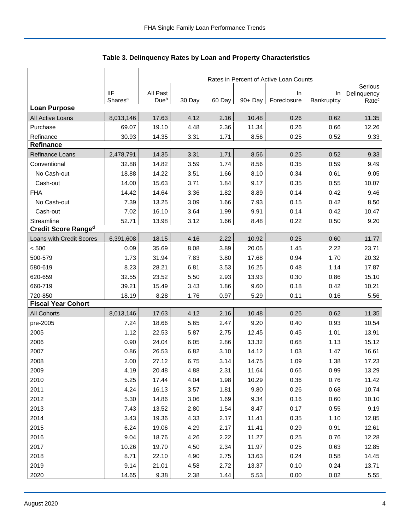|                            |                     | Rates in Percent of Active Loan Counts |        |        |         |             |            |                        |  |
|----------------------------|---------------------|----------------------------------------|--------|--------|---------|-------------|------------|------------------------|--|
|                            | <b>IIF</b>          | All Past                               |        |        |         | In          | In         | Serious<br>Delinquency |  |
|                            | Shares <sup>a</sup> | Due <sup>b</sup>                       | 30 Day | 60 Day | 90+ Day | Foreclosure | Bankruptcy | Rate <sup>c</sup>      |  |
| <b>Loan Purpose</b>        |                     |                                        |        |        |         |             |            |                        |  |
| All Active Loans           | 8,013,146           | 17.63                                  | 4.12   | 2.16   | 10.48   | 0.26        | 0.62       | 11.35                  |  |
| Purchase                   | 69.07               | 19.10                                  | 4.48   | 2.36   | 11.34   | 0.26        | 0.66       | 12.26                  |  |
| Refinance                  | 30.93               | 14.35                                  | 3.31   | 1.71   | 8.56    | 0.25        | 0.52       | 9.33                   |  |
| <b>Refinance</b>           |                     |                                        |        |        |         |             |            |                        |  |
| Refinance Loans            | 2,478,791           | 14.35                                  | 3.31   | 1.71   | 8.56    | 0.25        | 0.52       | 9.33                   |  |
| Conventional               | 32.88               | 14.82                                  | 3.59   | 1.74   | 8.56    | 0.35        | 0.59       | 9.49                   |  |
| No Cash-out                | 18.88               | 14.22                                  | 3.51   | 1.66   | 8.10    | 0.34        | 0.61       | 9.05                   |  |
| Cash-out                   | 14.00               | 15.63                                  | 3.71   | 1.84   | 9.17    | 0.35        | 0.55       | 10.07                  |  |
| <b>FHA</b>                 | 14.42               | 14.64                                  | 3.36   | 1.82   | 8.89    | 0.14        | 0.42       | 9.46                   |  |
| No Cash-out                | 7.39                | 13.25                                  | 3.09   | 1.66   | 7.93    | 0.15        | 0.42       | 8.50                   |  |
| Cash-out                   | 7.02                | 16.10                                  | 3.64   | 1.99   | 9.91    | 0.14        | 0.42       | 10.47                  |  |
| Streamline                 | 52.71               | 13.98                                  | 3.12   | 1.66   | 8.48    | 0.22        | 0.50       | 9.20                   |  |
| <b>Credit Score Ranged</b> |                     |                                        |        |        |         |             |            |                        |  |
| Loans with Credit Scores   | 6,391,608           | 18.15                                  | 4.16   | 2.22   | 10.92   | 0.25        | 0.60       | 11.77                  |  |
| < 500                      | 0.09                | 35.69                                  | 8.08   | 3.89   | 20.05   | 1.45        | 2.22       | 23.71                  |  |
| 500-579                    | 1.73                | 31.94                                  | 7.83   | 3.80   | 17.68   | 0.94        | 1.70       | 20.32                  |  |
| 580-619                    | 8.23                | 28.21                                  | 6.81   | 3.53   | 16.25   | 0.48        | 1.14       | 17.87                  |  |
| 620-659                    | 32.55               | 23.52                                  | 5.50   | 2.93   | 13.93   | 0.30        | 0.86       | 15.10                  |  |
| 660-719                    | 39.21               | 15.49                                  | 3.43   | 1.86   | 9.60    | 0.18        | 0.42       | 10.21                  |  |
| 720-850                    | 18.19               | 8.28                                   | 1.76   | 0.97   | 5.29    | 0.11        | 0.16       | 5.56                   |  |
| <b>Fiscal Year Cohort</b>  |                     |                                        |        |        |         |             |            |                        |  |
| <b>All Cohorts</b>         | 8,013,146           | 17.63                                  | 4.12   | 2.16   | 10.48   | 0.26        | 0.62       | 11.35                  |  |
| pre-2005                   | 7.24                | 18.66                                  | 5.65   | 2.47   | 9.20    | 0.40        | 0.93       | 10.54                  |  |
| 2005                       | 1.12                | 22.53                                  | 5.87   | 2.75   | 12.45   | 0.45        | 1.01       | 13.91                  |  |
| 2006                       | 0.90                | 24.04                                  | 6.05   | 2.86   | 13.32   | 0.68        | 1.13       | 15.12                  |  |
| 2007                       | 0.86                | 26.53                                  | 6.82   | 3.10   | 14.12   | 1.03        | 1.47       | 16.61                  |  |
| 2008                       | 2.00                | 27.12                                  | 6.75   | 3.14   | 14.75   | 1.09        | 1.38       | 17.23                  |  |
| 2009                       | 4.19                | 20.48                                  | 4.88   | 2.31   | 11.64   | 0.66        | 0.99       | 13.29                  |  |
| 2010                       | 5.25                | 17.44                                  | 4.04   | 1.98   | 10.29   | 0.36        | 0.76       | 11.42                  |  |
| 2011                       | 4.24                | 16.13                                  | 3.57   | 1.81   | 9.80    | 0.26        | 0.68       | 10.74                  |  |
| 2012                       | 5.30                | 14.86                                  | 3.06   | 1.69   | 9.34    | 0.16        | 0.60       | 10.10                  |  |
| 2013                       | 7.43                | 13.52                                  | 2.80   | 1.54   | 8.47    | 0.17        | 0.55       | 9.19                   |  |
| 2014                       | 3.43                | 19.36                                  | 4.33   | 2.17   | 11.41   | 0.35        | 1.10       | 12.85                  |  |
| 2015                       | 6.24                | 19.06                                  | 4.29   | 2.17   | 11.41   | 0.29        | 0.91       | 12.61                  |  |
| 2016                       | 9.04                | 18.76                                  | 4.26   | 2.22   | 11.27   | 0.25        | 0.76       | 12.28                  |  |
| 2017                       | 10.26               | 19.70                                  | 4.50   | 2.34   | 11.97   | 0.25        | 0.63       | 12.85                  |  |
| 2018                       | 8.71                | 22.10                                  | 4.90   | 2.75   | 13.63   | 0.24        | 0.58       | 14.45                  |  |
| 2019                       | 9.14                | 21.01                                  | 4.58   | 2.72   | 13.37   | 0.10        | 0.24       | 13.71                  |  |
| 2020                       | 14.65               | 9.38                                   | 2.38   | 1.44   | 5.53    | 0.00        | 0.02       | 5.55                   |  |

<span id="page-4-0"></span>Table 3. Delinquency Rates by Loan and Property Characteristics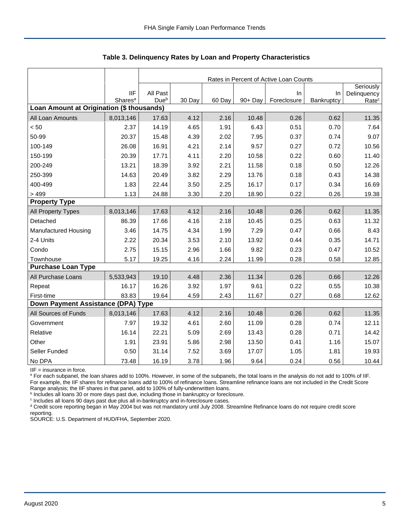|                                           |                     |                  | Rates in Percent of Active Loan Counts |        |         |             |            |                   |  |  |
|-------------------------------------------|---------------------|------------------|----------------------------------------|--------|---------|-------------|------------|-------------------|--|--|
|                                           |                     |                  |                                        |        |         |             |            | Seriously         |  |  |
|                                           | <b>IIF</b>          | All Past         |                                        |        |         | $\ln$       | In         | Delinquency       |  |  |
| Loan Amount at Origination (\$ thousands) | Shares <sup>a</sup> | Due <sup>b</sup> | 30 Day                                 | 60 Day | 90+ Day | Foreclosure | Bankruptcy | Rate <sup>c</sup> |  |  |
| All Loan Amounts                          | 8,013,146           | 17.63            | 4.12                                   | 2.16   | 10.48   | 0.26        | 0.62       | 11.35             |  |  |
| < 50                                      | 2.37                | 14.19            | 4.65                                   | 1.91   | 6.43    | 0.51        | 0.70       | 7.64              |  |  |
| 50-99                                     | 20.37               | 15.48            | 4.39                                   | 2.02   | 7.95    | 0.37        | 0.74       | 9.07              |  |  |
| 100-149                                   | 26.08               | 16.91            | 4.21                                   | 2.14   | 9.57    | 0.27        | 0.72       | 10.56             |  |  |
| 150-199                                   | 20.39               | 17.71            | 4.11                                   | 2.20   | 10.58   | 0.22        | 0.60       | 11.40             |  |  |
| 200-249                                   | 13.21               | 18.39            | 3.92                                   | 2.21   | 11.58   | 0.18        | 0.50       | 12.26             |  |  |
| 250-399                                   | 14.63               | 20.49            | 3.82                                   | 2.29   | 13.76   | 0.18        | 0.43       | 14.38             |  |  |
| 400-499                                   | 1.83                | 22.44            | 3.50                                   | 2.25   | 16.17   | 0.17        | 0.34       | 16.69             |  |  |
| > 499                                     | 1.13                | 24.88            | 3.30                                   | 2.20   | 18.90   | 0.22        | 0.26       | 19.38             |  |  |
| <b>Property Type</b>                      |                     |                  |                                        |        |         |             |            |                   |  |  |
| All Property Types                        | 8,013,146           | 17.63            | 4.12                                   | 2.16   | 10.48   | 0.26        | 0.62       | 11.35             |  |  |
| Detached                                  | 86.39               | 17.66            | 4.16                                   | 2.18   | 10.45   | 0.25        | 0.63       | 11.32             |  |  |
| <b>Manufactured Housing</b>               | 3.46                | 14.75            | 4.34                                   | 1.99   | 7.29    | 0.47        | 0.66       | 8.43              |  |  |
| 2-4 Units                                 | 2.22                | 20.34            | 3.53                                   | 2.10   | 13.92   | 0.44        | 0.35       | 14.71             |  |  |
| Condo                                     | 2.75                | 15.15            | 2.96                                   | 1.66   | 9.82    | 0.23        | 0.47       | 10.52             |  |  |
| Townhouse                                 | 5.17                | 19.25            | 4.16                                   | 2.24   | 11.99   | 0.28        | 0.58       | 12.85             |  |  |
| <b>Purchase Loan Type</b>                 |                     |                  |                                        |        |         |             |            |                   |  |  |
| All Purchase Loans                        | 5,533,943           | 19.10            | 4.48                                   | 2.36   | 11.34   | 0.26        | 0.66       | 12.26             |  |  |
| Repeat                                    | 16.17               | 16.26            | 3.92                                   | 1.97   | 9.61    | 0.22        | 0.55       | 10.38             |  |  |
| First-time                                | 83.83               | 19.64            | 4.59                                   | 2.43   | 11.67   | 0.27        | 0.68       | 12.62             |  |  |
| Down Payment Assistance (DPA) Type        |                     |                  |                                        |        |         |             |            |                   |  |  |
| All Sources of Funds                      | 8,013,146           | 17.63            | 4.12                                   | 2.16   | 10.48   | 0.26        | 0.62       | 11.35             |  |  |
| Government                                | 7.97                | 19.32            | 4.61                                   | 2.60   | 11.09   | 0.28        | 0.74       | 12.11             |  |  |
| Relative                                  | 16.14               | 22.21            | 5.09                                   | 2.69   | 13.43   | 0.28        | 0.71       | 14.42             |  |  |
| Other                                     | 1.91                | 23.91            | 5.86                                   | 2.98   | 13.50   | 0.41        | 1.16       | 15.07             |  |  |
| Seller Funded                             | 0.50                | 31.14            | 7.52                                   | 3.69   | 17.07   | 1.05        | 1.81       | 19.93             |  |  |
| No DPA                                    | 73.48               | 16.19            | 3.78                                   | 1.96   | 9.64    | 0.24        | 0.56       | 10.44             |  |  |

**Table 3. Delinquency Rates by Loan and Property Characteristics**

IIF = insurance in force.

<sup>a</sup> For each subpanel, the loan shares add to 100%. However, in some of the subpanels, the total loans in the analysis do not add to 100% of IIF. For example, the IIF shares for refinance loans add to 100% of refinance loans. Streamline refinance loans are not included in the Credit Score

Range analysis; the IIF shares in that panel, add to 100% of fully-underwritten loans.<br><sup>b</sup> Includes all loans 30 or more days past due, including those in bankruptcy or foreclosure.

c Includes all loans 90 days past due plus all in-bankruptcy and in-foreclosure cases.

<sup>d</sup> Credit score reporting began in May 2004 but was not mandatory until July 2008. Streamline Refinance loans do not require credit score reporting.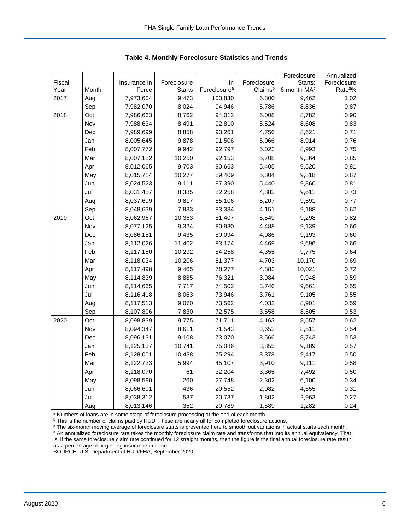|        |       |              |               |                          |             | Foreclosure             | Annualized           |
|--------|-------|--------------|---------------|--------------------------|-------------|-------------------------|----------------------|
| Fiscal |       | Insurance in | Foreclosure   | In                       | Foreclosure | Starts:                 | Foreclosure          |
| Year   | Month | Force        | <b>Starts</b> | Foreclosure <sup>a</sup> | Claimsb     | 6-month MA <sup>c</sup> | Rate <sup>do</sup> % |
| 2017   | Aug   | 7,973,604    | 9,473         | 103,830                  | 6,800       | 9,462                   | 1.02                 |
|        | Sep   | 7,982,070    | 8,024         | 94,946                   | 5,786       | 8,836                   | 0.87                 |
| 2018   | Oct   | 7,986,663    | 8,762         | 94,012                   | 6,008       | 8,782                   | 0.90                 |
|        | Nov   | 7,988,634    | 8,491         | 92,810                   | 5,524       | 8,608                   | 0.83                 |
|        | Dec   | 7,989,699    | 8,858         | 93,261                   | 4,756       | 8,621                   | 0.71                 |
|        | Jan   | 8,005,645    | 9,878         | 91,506                   | 5,066       | 8,914                   | 0.76                 |
|        | Feb   | 8,007,772    | 9,942         | 92,797                   | 5,023       | 8,993                   | 0.75                 |
|        | Mar   | 8,007,182    | 10,250        | 92,153                   | 5,708       | 9,364                   | 0.85                 |
|        | Apr   | 8,012,065    | 9,703         | 90,663                   | 5,405       | 9,520                   | 0.81                 |
|        | May   | 8,015,714    | 10,277        | 89,409                   | 5,804       | 9,818                   | 0.87                 |
|        | Jun   | 8,024,523    | 9,111         | 87,390                   | 5,440       | 9,860                   | 0.81                 |
|        | Jul   | 8,031,487    | 8,385         | 82,258                   | 4,882       | 9,611                   | 0.73                 |
|        | Aug   | 8,037,609    | 9,817         | 85,106                   | 5,207       | 9,591                   | 0.77                 |
|        | Sep   | 8,048,639    | 7,833         | 83,334                   | 4,151       | 9,188                   | 0.62                 |
| 2019   | Oct   | 8,062,967    | 10,363        | 81,407                   | 5,549       | 9,298                   | 0.82                 |
|        | Nov   | 8,077,125    | 9,324         | 80,980                   | 4,488       | 9,139                   | 0.66                 |
|        | Dec   | 8,086,151    | 9,435         | 80,094                   | 4,086       | 9,193                   | 0.60                 |
|        | Jan   | 8,112,026    | 11,402        | 83,174                   | 4,469       | 9,696                   | 0.66                 |
|        | Feb   | 8,117,180    | 10,292        | 84,258                   | 4,355       | 9,775                   | 0.64                 |
|        | Mar   | 8,118,034    | 10,206        | 81,377                   | 4,703       | 10,170                  | 0.69                 |
|        | Apr   | 8,117,498    | 9,465         | 78,277                   | 4,883       | 10,021                  | 0.72                 |
|        | May   | 8,114,839    | 8,885         | 76,321                   | 3,984       | 9,948                   | 0.59                 |
|        | Jun   | 8,114,665    | 7,717         | 74,502                   | 3,746       | 9,661                   | 0.55                 |
|        | Jul   | 8,116,418    | 8,063         | 73,946                   | 3,761       | 9,105                   | 0.55                 |
|        | Aug   | 8,117,513    | 9,070         | 73,562                   | 4,032       | 8,901                   | 0.59                 |
|        | Sep   | 8,107,806    | 7,830         | 72,575                   | 3,558       | 8,505                   | 0.53                 |
| 2020   | Oct   | 8,098,839    | 9,775         | 71,711                   | 4,163       | 8,557                   | 0.62                 |
|        | Nov   | 8,094,347    | 8,611         | 71,543                   | 3,652       | 8,511                   | 0.54                 |
|        | Dec   | 8,096,131    | 9,108         | 73,070                   | 3,566       | 8,743                   | 0.53                 |
|        | Jan   | 8,125,137    | 10,741        | 75,086                   | 3,855       | 9,189                   | 0.57                 |
|        | Feb   | 8,128,001    | 10,438        | 75,294                   | 3,378       | 9,417                   | 0.50                 |
|        | Mar   | 8,122,723    | 5,994         | 45,107                   | 3,910       | 9,111                   | 0.58                 |
|        | Apr   | 8,118,070    | 61            | 32,204                   | 3,365       | 7,492                   | 0.50                 |
|        | May   | 8,098,590    | 260           | 27,748                   | 2,302       | 6,100                   | 0.34                 |
|        | Jun   | 8,066,691    | 436           | 20,552                   | 2,082       | 4,655                   | 0.31                 |
|        | Jul   | 8,038,312    | 587           | 20,737                   | 1,802       | 2,963                   | 0.27                 |
|        | Aug   | 8,013,146    | 352           | 20,789                   | 1,589       | 1,282                   | 0.24                 |

<span id="page-6-0"></span>**Table 4. Monthly Foreclosure Statistics and Trends**

<sup>a</sup> Numbers of loans are in some stage of foreclosure processing at the end of each month.

b This is the number of claims paid by HUD. These are nearly all for completed foreclosure actions.

<sup>c</sup> The six-month moving average of foreclosure starts is presented here to smooth out variations in actual starts each month. <sup>d</sup> An annualized foreclosure rate takes the monthly foreclosure claim rate and transforms that into its annual equivalency. That is, if the same foreclosure claim rate continued for 12 straight months, then the figure is the final annual foreclosure rate result as a percentage of beginning insurance-in-force.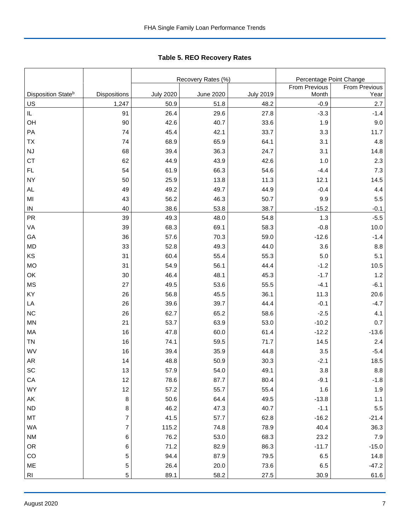|                                |                |                  | Recovery Rates (%) | Percentage Point Change |               |               |
|--------------------------------|----------------|------------------|--------------------|-------------------------|---------------|---------------|
|                                |                |                  |                    |                         | From Previous | From Previous |
| Disposition State <sup>b</sup> | Dispositions   | <b>July 2020</b> | <b>June 2020</b>   | <b>July 2019</b>        | Month         | Year          |
| US                             | 1,247          | 50.9             | 51.8               | 48.2                    | $-0.9$        | 2.7           |
| $\sf IL$                       | 91             | 26.4             | 29.6               | 27.8                    | $-3.3$        | $-1.4$        |
| OH                             | 90             | 42.6             | 40.7               | 33.6                    | 1.9           | 9.0           |
| PA                             | 74             | 45.4             | 42.1               | 33.7                    | 3.3           | 11.7          |
| <b>TX</b>                      | 74             | 68.9             | 65.9               | 64.1                    | 3.1           | 4.8           |
| <b>NJ</b>                      | 68             | 39.4             | 36.3               | 24.7                    | 3.1           | 14.8          |
| <b>CT</b>                      | 62             | 44.9             | 43.9               | 42.6                    | 1.0           | 2.3           |
| FL.                            | 54             | 61.9             | 66.3               | 54.6                    | $-4.4$        | 7.3           |
| <b>NY</b>                      | 50             | 25.9             | 13.8               | 11.3                    | 12.1          | 14.5          |
| <b>AL</b>                      | 49             | 49.2             | 49.7               | 44.9                    | $-0.4$        | 4.4           |
| MI                             | 43             | 56.2             | 46.3               | 50.7                    | 9.9           | 5.5           |
| ${\sf IN}$                     | 40             | 38.6             | 53.8               | 38.7                    | $-15.2$       | $-0.1$        |
| <b>PR</b>                      | 39             | 49.3             | 48.0               | 54.8                    | 1.3           | $-5.5$        |
| VA                             | 39             | 68.3             | 69.1               | 58.3                    | $-0.8$        | 10.0          |
| GA                             | 36             | 57.6             | 70.3               | 59.0                    | $-12.6$       | $-1.4$        |
| <b>MD</b>                      | 33             | 52.8             | 49.3               | 44.0                    | 3.6           | 8.8           |
| KS                             | 31             | 60.4             | 55.4               | 55.3                    | 5.0           | 5.1           |
| <b>MO</b>                      | 31             | 54.9             | 56.1               | 44.4                    | $-1.2$        | 10.5          |
| OK                             | 30             | 46.4             | 48.1               | 45.3                    | $-1.7$        | 1.2           |
| <b>MS</b>                      | 27             | 49.5             | 53.6               | 55.5                    | $-4.1$        | $-6.1$        |
| KY                             | 26             | 56.8             | 45.5               | 36.1                    | 11.3          | 20.6          |
| LA                             | 26             | 39.6             | 39.7               | 44.4                    | $-0.1$        | $-4.7$        |
| <b>NC</b>                      | 26             | 62.7             | 65.2               | 58.6                    | $-2.5$        | 4.1           |
| <b>MN</b>                      | 21             | 53.7             | 63.9               | 53.0                    | $-10.2$       | 0.7           |
| MA                             | 16             | 47.8             | 60.0               | 61.4                    | $-12.2$       | $-13.6$       |
| <b>TN</b>                      | 16             | 74.1             | 59.5               | 71.7                    | 14.5          | 2.4           |
| WV                             | 16             | 39.4             | 35.9               | 44.8                    | 3.5           | $-5.4$        |
| AR                             | 14             | 48.8             | 50.9               | 30.3                    | $-2.1$        | 18.5          |
| $\operatorname{\textsf{SC}}$   | $13\,$         | 57.9             | 54.0               | 49.1                    | 3.8           | $\bf 8.8$     |
| ${\sf CA}$                     | 12             | 78.6             | 87.7               | 80.4                    | $-9.1$        | $-1.8$        |
| <b>WY</b>                      | 12             | 57.2             | 55.7               | 55.4                    | 1.6           | 1.9           |
| AK                             | 8              | 50.6             | 64.4               | 49.5                    | $-13.8$       | $1.1$         |
| ND                             | 8              | 46.2             | 47.3               | 40.7                    | $-1.1$        | $5.5\,$       |
| MT                             | $\overline{7}$ | 41.5             | 57.7               | 62.8                    | $-16.2$       | $-21.4$       |
| WA                             | $\overline{7}$ | 115.2            | 74.8               | 78.9                    | 40.4          | 36.3          |
| <b>NM</b>                      | 6              | 76.2             | 53.0               | 68.3                    | 23.2          | 7.9           |
| OR                             | 6              | 71.2             | 82.9               | 86.3                    | $-11.7$       | $-15.0$       |
| CO                             | 5              | 94.4             | 87.9               | 79.5                    | 6.5           | 14.8          |
| ME                             | 5              | 26.4             | 20.0               | 73.6                    | 6.5           | $-47.2$       |
| <b>RI</b>                      | 5              | 89.1             | 58.2               | 27.5                    | 30.9          | 61.6          |

<span id="page-7-0"></span>Tabl e 5. REO R ecovery R ates **Table 5. REO Recovery Rates**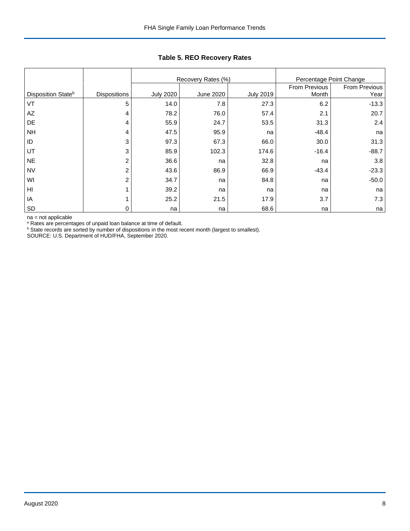|                                |                     |                  | Recovery Rates (%) | Percentage Point Change |               |               |
|--------------------------------|---------------------|------------------|--------------------|-------------------------|---------------|---------------|
|                                |                     |                  |                    |                         | From Previous | From Previous |
| Disposition State <sup>b</sup> | <b>Dispositions</b> | <b>July 2020</b> | <b>June 2020</b>   | <b>July 2019</b>        | Month         | Year          |
| VT                             | 5                   | 14.0             | 7.8                | 27.3                    | 6.2           | $-13.3$       |
| AZ                             | 4                   | 78.2             | 76.0               | 57.4                    | 2.1           | 20.7          |
| DE                             | 4                   | 55.9             | 24.7               | 53.5                    | 31.3          | 2.4           |
| <b>NH</b>                      | 4                   | 47.5             | 95.9               | na                      | $-48.4$       | na            |
| ID                             | 3                   | 97.3             | 67.3               | 66.0                    | 30.0          | 31.3          |
| UT                             | 3                   | 85.9             | 102.3              | 174.6                   | $-16.4$       | $-88.7$       |
| <b>NE</b>                      | $\overline{2}$      | 36.6             | na                 | 32.8                    | na            | 3.8           |
| <b>NV</b>                      | $\overline{2}$      | 43.6             | 86.9               | 66.9                    | $-43.4$       | $-23.3$       |
| WI                             | $\overline{2}$      | 34.7             | na                 | 84.8                    | na            | $-50.0$       |
| HI                             |                     | 39.2             | na                 | na                      | na            | na            |
| IA                             |                     | 25.2             | 21.5               | 17.9                    | 3.7           | 7.3           |
| <b>SD</b>                      | 0                   | na               | na                 | 68.6                    | na            | na            |

## **Table 5. REO Recovery Rates**

na = not applicable

<sup>a</sup> Rates are percentages of unpaid loan balance at time of default.

<sup>b</sup> State records are sorted by number of dispositions in the most recent month (largest to smallest).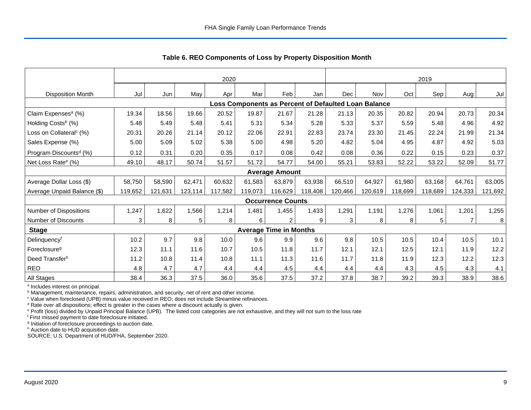|                                     | 2020         |         |         |         |                                                      |                               | 2019    |         |         |         |         |                |         |
|-------------------------------------|--------------|---------|---------|---------|------------------------------------------------------|-------------------------------|---------|---------|---------|---------|---------|----------------|---------|
| <b>Disposition Month</b>            | Jul          | Jun     | May     | Apr     | Mar                                                  | Feb                           | Jan     | Dec     | Nov     | Oct     | Sep     | Aug            | Jul     |
|                                     |              |         |         |         | Loss Components as Percent of Defaulted Loan Balance |                               |         |         |         |         |         |                |         |
| Claim Expenses <sup>a</sup> (%)     | 19.34        | 18.56   | 19.66   | 20.52   | 19.87                                                | 21.67                         | 21.28   | 21.13   | 20.35   | 20.82   | 20.94   | 20.73          | 20.34   |
| Holding Costs <sup>b</sup> (%)      | 5.48         | 5.49    | 5.48    | 5.41    | 5.31                                                 | 5.34                          | 5.28    | 5.33    | 5.37    | 5.59    | 5.48    | 4.96           | 4.92    |
| Loss on Collateral <sup>c</sup> (%) | 20.31        | 20.26   | 21.14   | 20.12   | 22.06                                                | 22.91                         | 22.83   | 23.74   | 23.30   | 21.45   | 22.24   | 21.99          | 21.34   |
| Sales Expense (%)                   | 5.00         | 5.09    | 5.02    | 5.38    | 5.00                                                 | 4.98                          | 5.20    | 4.82    | 5.04    | 4.95    | 4.87    | 4.92           | 5.03    |
| Program Discounts <sup>d</sup> (%)  | 0.12         | 0.31    | 0.20    | 0.35    | 0.17                                                 | 0.08                          | 0.42    | 0.08    | 0.36    | 0.22    | 0.15    | 0.23           | 0.37    |
| Net Loss Rate <sup>e</sup> (%)      | 49.10        | 48.17   | 50.74   | 51.57   | 51.72                                                | 54.77                         | 54.00   | 55.21   | 53.83   | 52.22   | 53.22   | 52.09          | 51.77   |
|                                     |              |         |         |         |                                                      | <b>Average Amount</b>         |         |         |         |         |         |                |         |
| Average Dollar Loss (\$)            | 58,750       | 58,590  | 62,471  | 60,632  | 61.583                                               | 63,879                        | 63,938  | 66,510  | 64,927  | 61,980  | 63,168  | 64,761         | 63,005  |
| Average Unpaid Balance (\$)         | 119,652      | 121,631 | 123,114 | 117,582 | 119,073                                              | 116,629                       | 118,408 | 120,466 | 120,619 | 118,699 | 118,689 | 124,333        | 121,692 |
|                                     |              |         |         |         |                                                      | <b>Occurrence Counts</b>      |         |         |         |         |         |                |         |
| Number of Dispositions              | 1,247        | 1,622   | 1,566   | 1,214   | 1,481                                                | 1,455                         | 1,433   | 1,291   | 1,191   | 1,276   | 1,061   | 1,201          | 1,255   |
| <b>Number of Discounts</b>          | $\mathbf{3}$ | 8       | 5       | 8       | 6                                                    | $\overline{2}$                | 9       | 3       | 8       | 8       | 5       | $\overline{7}$ | 8       |
| <b>Stage</b>                        |              |         |         |         |                                                      | <b>Average Time in Months</b> |         |         |         |         |         |                |         |
| Delinquency <sup>f</sup>            | 10.2         | 9.7     | 9.8     | 10.0    | 9.6                                                  | 9.9                           | 9.6     | 9.8     | 10.5    | 10.5    | 10.4    | 10.5           | 10.1    |
| Foreclosure <sup>g</sup>            | 12.3         | 11.1    | 11.6    | 10.7    | 10.5                                                 | 11.8                          | 11.7    | 12.1    | 12.1    | 12.5    | 12.1    | 11.9           | 12.2    |
| Deed Transferh                      | 11.2         | 10.8    | 11.4    | 10.8    | 11.1                                                 | 11.3                          | 11.6    | 11.7    | 11.8    | 11.9    | 12.3    | 12.2           | 12.3    |
| <b>REO</b>                          | 4.8          | 4.7     | 4.7     | 4.4     | 4.4                                                  | 4.5                           | 4.4     | 4.4     | 4.4     | 4.3     | 4.5     | 4.3            | 4.1     |
| All Stages                          | 38.4         | 36.3    | 37.5    | 36.0    | 35.6                                                 | 37.5                          | 37.2    | 37.8    | 38.7    | 39.2    | 39.3    | 38.9           | 38.6    |

<span id="page-9-0"></span>**Table 6. REO Components of Loss by Property Disposition Month**

<sup>a</sup> Includes interest on principal.

**b** Management, maintenance, repairs, administration, and security, net of rent and other income.

<sup>c</sup> Value when foreclosed (UPB) minus value received in REO; does not include Streamline refinances.

<sup>d</sup> Rate over all dispositions; effect is greater in the cases where a discount actually is given.

<sup>e</sup> Profit (loss) divided by Unpaid Principal Balance (UPB). The listed cost categories are not exhaustive, and they will not sum to the loss rate

<sup>f</sup> First missed payment to date foreclosure initiated.

<sup>g</sup> Initiation of foreclosure proceedings to auction date.

h Auction date to HUD acquisition date.